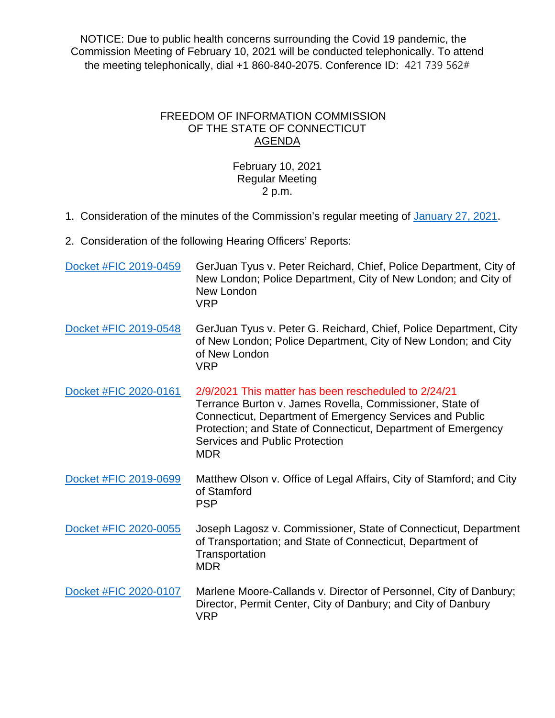NOTICE: Due to public health concerns surrounding the Covid 19 pandemic, the Commission Meeting of February 10, 2021 will be conducted telephonically. To attend the meeting telephonically, dial +1 860-840-2075. Conference ID: 421 739 562#

## FREEDOM OF INFORMATION COMMISSION OF THE STATE OF CONNECTICUT AGENDA

## February 10, 2021 Regular Meeting 2 p.m.

- 1. Consideration of the minutes of the Commission's regular meeting of [January 27, 2021.](https://portal.ct.gov/-/media/FOI/Minutes/2021/Minutes-1-27-2021.pdf)
- 2. Consideration of the following Hearing Officers' Reports:

| Docket #FIC 2019-0459 | GerJuan Tyus v. Peter Reichard, Chief, Police Department, City of<br>New London; Police Department, City of New London; and City of<br>New London<br><b>VRP</b>                                                                                                                               |
|-----------------------|-----------------------------------------------------------------------------------------------------------------------------------------------------------------------------------------------------------------------------------------------------------------------------------------------|
| Docket #FIC 2019-0548 | GerJuan Tyus v. Peter G. Reichard, Chief, Police Department, City<br>of New London; Police Department, City of New London; and City<br>of New London<br><b>VRP</b>                                                                                                                            |
| Docket #FIC 2020-0161 | 2/9/2021 This matter has been rescheduled to 2/24/21<br>Terrance Burton v. James Rovella, Commissioner, State of<br>Connecticut, Department of Emergency Services and Public<br>Protection; and State of Connecticut, Department of Emergency<br>Services and Public Protection<br><b>MDR</b> |
| Docket #FIC 2019-0699 | Matthew Olson v. Office of Legal Affairs, City of Stamford; and City<br>of Stamford<br><b>PSP</b>                                                                                                                                                                                             |
| Docket #FIC 2020-0055 | Joseph Lagosz v. Commissioner, State of Connecticut, Department<br>of Transportation; and State of Connecticut, Department of<br>Transportation<br><b>MDR</b>                                                                                                                                 |
| Docket #FIC 2020-0107 | Marlene Moore-Callands v. Director of Personnel, City of Danbury;<br>Director, Permit Center, City of Danbury; and City of Danbury<br><b>VRP</b>                                                                                                                                              |